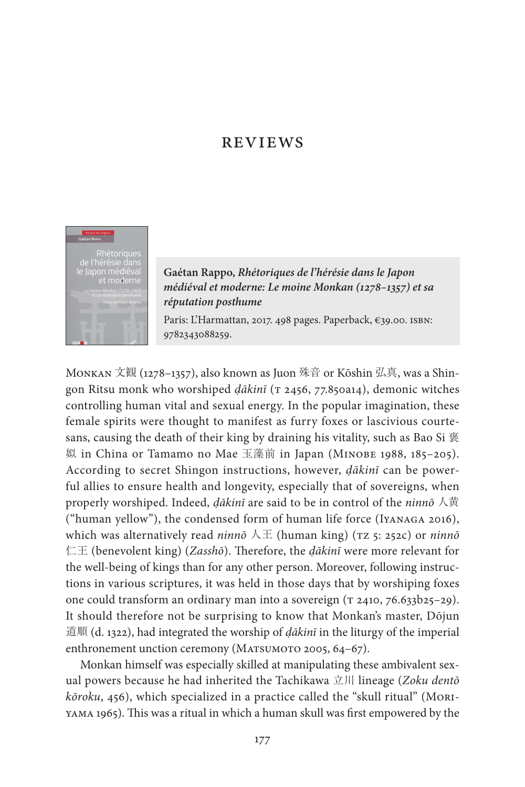# **REVIEWS**



**Gaétan Rappo,** *Rhétoriques de l'hérésie dans le Japon médiéval et moderne: Le moine Monkan (1278–1357) et sa réputation posthume*

Paris: L'Harmattan, 2017. 498 pages. Paperback, €39.00. ISBN: 9782343088259.

Monkan 文観 (1278–1357), also known as Juon 殊音 or Kōshin 弘真, was a Shingon Ritsu monk who worshiped *dākinī* (T 2456, 77.850a14), demonic witches controlling human vital and sexual energy. In the popular imagination, these female spirits were thought to manifest as furry foxes or lascivious courtesans, causing the death of their king by draining his vitality, such as Bao Si 褒 姒 in China or Tamamo no Mae 玉藻前 in Japan (Minobe 1988, 185–205). According to secret Shingon instructions, however, *ḍākinī* can be powerful allies to ensure health and longevity, especially that of sovereigns, when properly worshiped. Indeed, *ḍākinī* are said to be in control of the *ninnō* 人黄 ("human yellow"), the condensed form of human life force (Iyanaga 2016), which was alternatively read *ninnō* 人王 (human king) (TZ 5: 252c) or *ninnō* 仁王 (benevolent king) (*Zasshō*). Therefore, the *ḍākinī* were more relevant for the well-being of kings than for any other person. Moreover, following instructions in various scriptures, it was held in those days that by worshiping foxes one could transform an ordinary man into a sovereign ( $\tau$  2410, 76.633b25-29). It should therefore not be surprising to know that Monkan's master, Dōjun 道順 (d. 1322), had integrated the worship of *ḍākinī* in the liturgy of the imperial enthronement unction ceremony (MATSUMOTO 2005, 64-67).

Monkan himself was especially skilled at manipulating these ambivalent sexual powers because he had inherited the Tachikawa 立川 lineage (*Zoku dentō kōroku*, 456), which specialized in a practice called the "skull ritual" (Moriyama 1965). This was a ritual in which a human skull was first empowered by the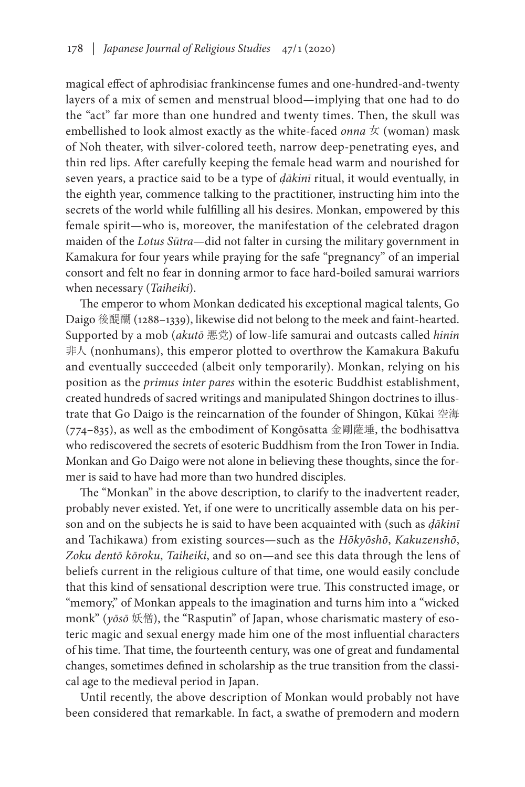magical effect of aphrodisiac frankincense fumes and one-hundred-and-twenty layers of a mix of semen and menstrual blood—implying that one had to do the "act" far more than one hundred and twenty times. Then, the skull was embellished to look almost exactly as the white-faced *onna* 女 (woman) mask of Noh theater, with silver-colored teeth, narrow deep-penetrating eyes, and thin red lips. After carefully keeping the female head warm and nourished for seven years, a practice said to be a type of *ḍākinī* ritual, it would eventually, in the eighth year, commence talking to the practitioner, instructing him into the secrets of the world while fulfilling all his desires. Monkan, empowered by this female spirit—who is, moreover, the manifestation of the celebrated dragon maiden of the *Lotus Sūtra*—did not falter in cursing the military government in Kamakura for four years while praying for the safe "pregnancy" of an imperial consort and felt no fear in donning armor to face hard-boiled samurai warriors when necessary (*Taiheiki*).

The emperor to whom Monkan dedicated his exceptional magical talents, Go Daigo 後醍醐 (1288–1339), likewise did not belong to the meek and faint-hearted. Supported by a mob (*akutō* 悪党) of low-life samurai and outcasts called *hinin* 非人 (nonhumans), this emperor plotted to overthrow the Kamakura Bakufu and eventually succeeded (albeit only temporarily). Monkan, relying on his position as the *primus inter pares* within the esoteric Buddhist establishment, created hundreds of sacred writings and manipulated Shingon doctrines to illustrate that Go Daigo is the reincarnation of the founder of Shingon, Kūkai 空海 (774–835), as well as the embodiment of Kongōsatta 金剛薩埵, the bodhisattva who rediscovered the secrets of esoteric Buddhism from the Iron Tower in India. Monkan and Go Daigo were not alone in believing these thoughts, since the former is said to have had more than two hundred disciples.

The "Monkan" in the above description, to clarify to the inadvertent reader, probably never existed. Yet, if one were to uncritically assemble data on his person and on the subjects he is said to have been acquainted with (such as *ḍākinī* and Tachikawa) from existing sources—such as the *Hōkyōshō*, *Kakuzenshō*, *Zoku dentō kōroku*, *Taiheiki*, and so on—and see this data through the lens of beliefs current in the religious culture of that time, one would easily conclude that this kind of sensational description were true. This constructed image, or "memory," of Monkan appeals to the imagination and turns him into a "wicked monk" (*yōsō* 妖僧), the "Rasputin" of Japan, whose charismatic mastery of esoteric magic and sexual energy made him one of the most influential characters of his time. That time, the fourteenth century, was one of great and fundamental changes, sometimes defined in scholarship as the true transition from the classical age to the medieval period in Japan.

Until recently, the above description of Monkan would probably not have been considered that remarkable. In fact, a swathe of premodern and modern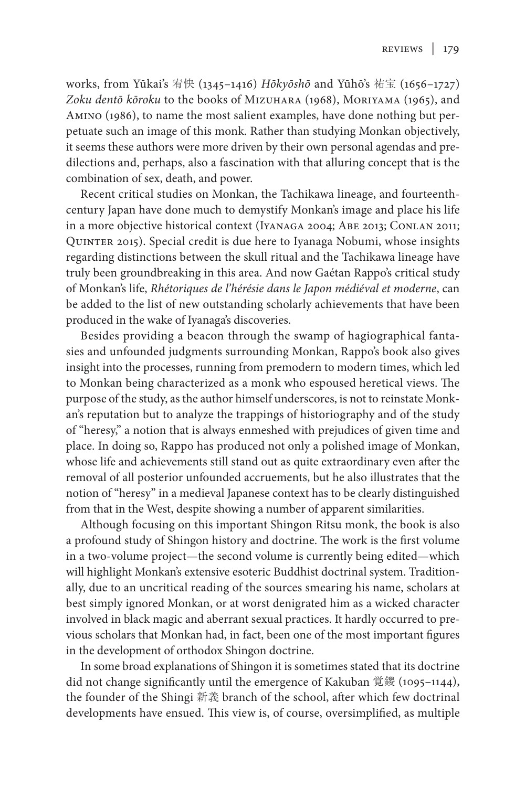works, from Yūkai's 宥快 (1345–1416) *Hōkyōshō* and Yūhō's 祐宝 (1656–1727) *Zoku dentō kōroku* to the books of Mizuhara (1968), Moriyama (1965), and Amino (1986), to name the most salient examples, have done nothing but perpetuate such an image of this monk. Rather than studying Monkan objectively, it seems these authors were more driven by their own personal agendas and predilections and, perhaps, also a fascination with that alluring concept that is the combination of sex, death, and power.

Recent critical studies on Monkan, the Tachikawa lineage, and fourteenthcentury Japan have done much to demystify Monkan's image and place his life in a more objective historical context (Iyanaga 2004; Abe 2013; Conlan 2011; Quinter 2015). Special credit is due here to Iyanaga Nobumi, whose insights regarding distinctions between the skull ritual and the Tachikawa lineage have truly been groundbreaking in this area. And now Gaétan Rappo's critical study of Monkan's life, *Rhétoriques de l'hérésie dans le Japon médiéval et moderne*, can be added to the list of new outstanding scholarly achievements that have been produced in the wake of Iyanaga's discoveries.

Besides providing a beacon through the swamp of hagiographical fantasies and unfounded judgments surrounding Monkan, Rappo's book also gives insight into the processes, running from premodern to modern times, which led to Monkan being characterized as a monk who espoused heretical views. The purpose of the study, as the author himself underscores, is not to reinstate Monkan's reputation but to analyze the trappings of historiography and of the study of "heresy," a notion that is always enmeshed with prejudices of given time and place. In doing so, Rappo has produced not only a polished image of Monkan, whose life and achievements still stand out as quite extraordinary even after the removal of all posterior unfounded accruements, but he also illustrates that the notion of "heresy" in a medieval Japanese context has to be clearly distinguished from that in the West, despite showing a number of apparent similarities.

Although focusing on this important Shingon Ritsu monk, the book is also a profound study of Shingon history and doctrine. The work is the first volume in a two-volume project—the second volume is currently being edited—which will highlight Monkan's extensive esoteric Buddhist doctrinal system. Traditionally, due to an uncritical reading of the sources smearing his name, scholars at best simply ignored Monkan, or at worst denigrated him as a wicked character involved in black magic and aberrant sexual practices. It hardly occurred to previous scholars that Monkan had, in fact, been one of the most important figures in the development of orthodox Shingon doctrine.

In some broad explanations of Shingon it is sometimes stated that its doctrine did not change significantly until the emergence of Kakuban 覚鑁 (1095–1144), the founder of the Shingi 新義 branch of the school, after which few doctrinal developments have ensued. This view is, of course, oversimplified, as multiple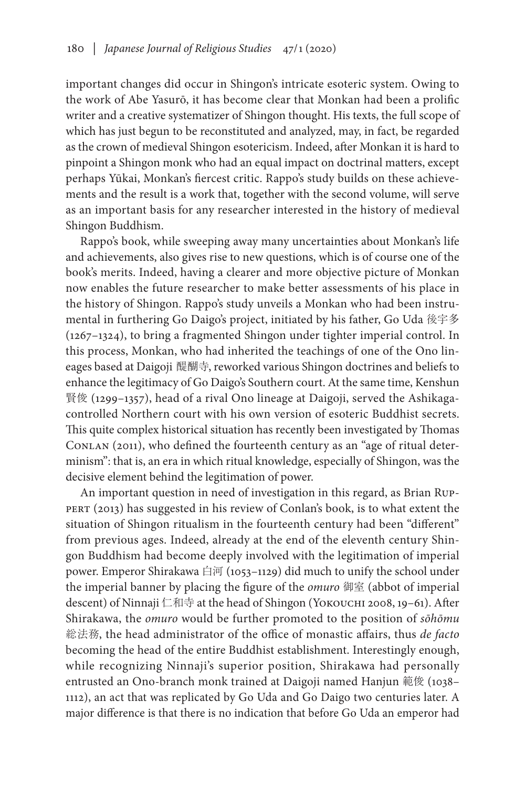important changes did occur in Shingon's intricate esoteric system. Owing to the work of Abe Yasurō, it has become clear that Monkan had been a prolific writer and a creative systematizer of Shingon thought. His texts, the full scope of which has just begun to be reconstituted and analyzed, may, in fact, be regarded as the crown of medieval Shingon esotericism. Indeed, after Monkan it is hard to pinpoint a Shingon monk who had an equal impact on doctrinal matters, except perhaps Yūkai, Monkan's fiercest critic. Rappo's study builds on these achievements and the result is a work that, together with the second volume, will serve as an important basis for any researcher interested in the history of medieval Shingon Buddhism.

Rappo's book, while sweeping away many uncertainties about Monkan's life and achievements, also gives rise to new questions, which is of course one of the book's merits. Indeed, having a clearer and more objective picture of Monkan now enables the future researcher to make better assessments of his place in the history of Shingon. Rappo's study unveils a Monkan who had been instrumental in furthering Go Daigo's project, initiated by his father, Go Uda 後宇多 (1267–1324), to bring a fragmented Shingon under tighter imperial control. In this process, Monkan, who had inherited the teachings of one of the Ono lineages based at Daigoji 醍醐寺, reworked various Shingon doctrines and beliefs to enhance the legitimacy of Go Daigo's Southern court. At the same time, Kenshun 賢俊 (1299–1357), head of a rival Ono lineage at Daigoji, served the Ashikagacontrolled Northern court with his own version of esoteric Buddhist secrets. This quite complex historical situation has recently been investigated by Thomas CONLAN (2011), who defined the fourteenth century as an "age of ritual determinism": that is, an era in which ritual knowledge, especially of Shingon, was the decisive element behind the legitimation of power.

An important question in need of investigation in this regard, as Brian Ruppert (2013) has suggested in his review of Conlan's book, is to what extent the situation of Shingon ritualism in the fourteenth century had been "different" from previous ages. Indeed, already at the end of the eleventh century Shingon Buddhism had become deeply involved with the legitimation of imperial power. Emperor Shirakawa 白河 (1053-1129) did much to unify the school under the imperial banner by placing the figure of the *omuro* 御室 (abbot of imperial descent) of Ninnaji 仁和寺 at the head of Shingon (Yokouchi 2008, 19–61). After Shirakawa, the *omuro* would be further promoted to the position of *sōhōmu* 総法務, the head administrator of the office of monastic affairs, thus *de facto* becoming the head of the entire Buddhist establishment. Interestingly enough, while recognizing Ninnaji's superior position, Shirakawa had personally entrusted an Ono-branch monk trained at Daigoji named Hanjun 範俊 (1038– 1112), an act that was replicated by Go Uda and Go Daigo two centuries later. A major difference is that there is no indication that before Go Uda an emperor had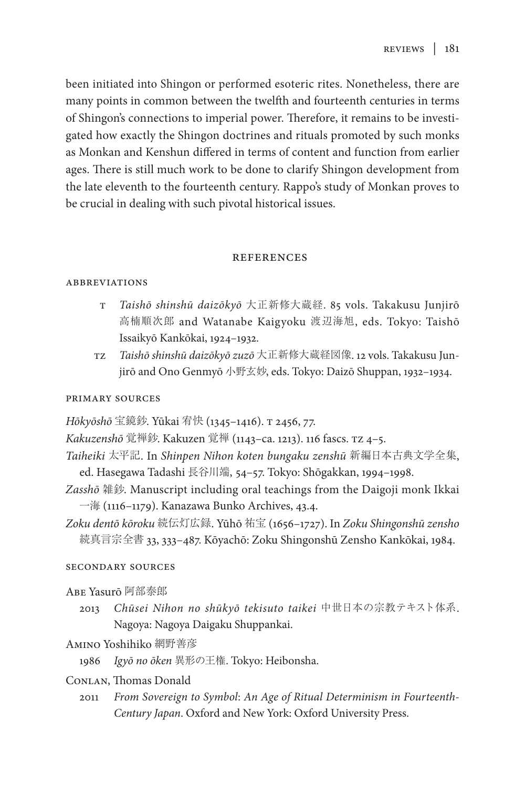been initiated into Shingon or performed esoteric rites. Nonetheless, there are many points in common between the twelfth and fourteenth centuries in terms of Shingon's connections to imperial power. Therefore, it remains to be investigated how exactly the Shingon doctrines and rituals promoted by such monks as Monkan and Kenshun differed in terms of content and function from earlier ages. There is still much work to be done to clarify Shingon development from the late eleventh to the fourteenth century. Rappo's study of Monkan proves to be crucial in dealing with such pivotal historical issues.

### **REFERENCES**

### **ABBREVIATIONS**

- t *Taishō shinshū daizōkyō* 大正新修大蔵経. 85 vols. Takakusu Junjirō 高楠順次郎 and Watanabe Kaigyoku 渡辺海旭, eds. Tokyo: Taishō Issaikyō Kankōkai, 1924–1932.
- tz *Taishō shinshū daizōkyō zuzō* 大正新修大蔵経図像. 12 vols. Takakusu Junjirō and Ono Genmyō 小野玄妙, eds. Tokyo: Daizō Shuppan, 1932–1934.

## primary sources

*Hōkyōshō* 宝鏡鈔. Yūkai 宥快 (1345–1416). t 2456, 77.

*Kakuzenshō* 覚禅鈔. Kakuzen 覚禅 (1143–ca. 1213). 116 fascs. tz 4–5.

- *Taiheiki* 太平記. In *Shinpen Nihon koten bungaku zenshū* 新編日本古典文学全集, ed. Hasegawa Tadashi 長谷川端, 54–57. Tokyo: Shōgakkan, 1994–1998.
- *Zasshō* 雑鈔. Manuscript including oral teachings from the Daigoji monk Ikkai 一海 (1116–1179). Kanazawa Bunko Archives, 43.4.
- *Zoku dentō kōroku* 続伝灯広録. Yūhō 祐宝 (1656–1727). In *Zoku Shingonshū zensho* 続真言宗全書 33, 333–487. Kōyachō: Zoku Shingonshū Zensho Kankōkai, 1984.

# secondary sources

- Abe Yasurō 阿部泰郎
	- 2013 *Chūsei Nihon no shūkyō tekisuto taikei* 中世日本の宗教テキスト体系. Nagoya: Nagoya Daigaku Shuppankai.
- Amino Yoshihiko 網野善彦
	- 1986 *Igyō no ōken* 異形の王権. Tokyo: Heibonsha.

# Conlan, Thomas Donald

2011 *From Sovereign to Symbol*: *An Age of Ritual Determinism in Fourteenth-Century Japan*. Oxford and New York: Oxford University Press.